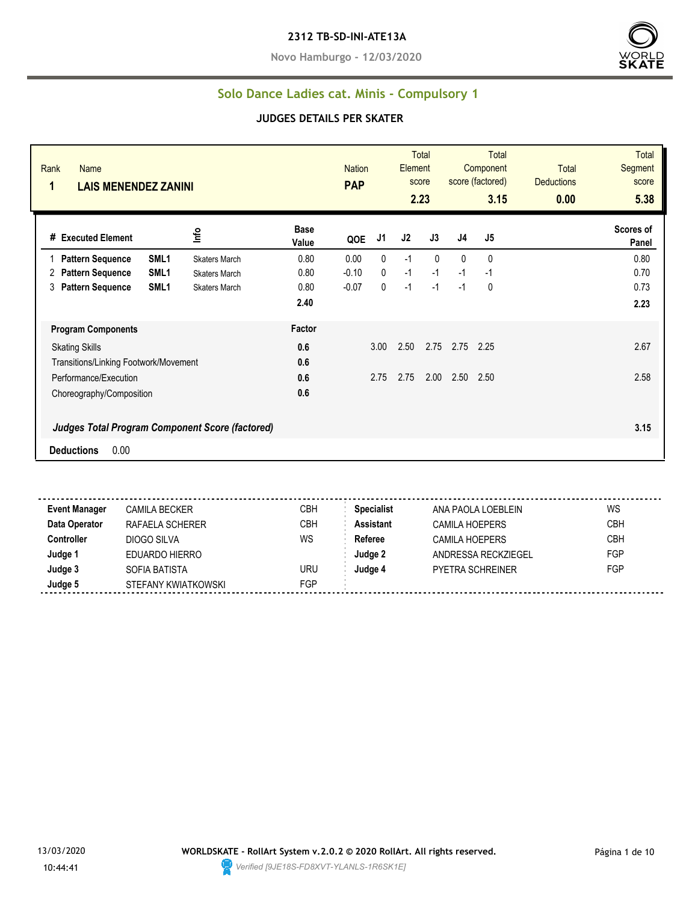#### **2312 TB-SD-INI-ATE13A**

**Novo Hamburgo - 12/03/2020**



#### **Solo Dance Ladies cat. Minis - Compulsory 1**

#### **JUDGES DETAILS PER SKATER**

| Rank<br><b>Name</b><br>1<br><b>LAIS MENENDEZ ZANINI</b>                             |                      | <b>Nation</b><br><b>PAP</b> |              | Element | <b>Total</b><br>score<br>2.23 |              | <b>Total</b><br>Component<br>score (factored)<br>3.15 | <b>Total</b><br><b>Deductions</b><br>0.00 | <b>Total</b><br>Segment<br>score<br>5.38 |
|-------------------------------------------------------------------------------------|----------------------|-----------------------------|--------------|---------|-------------------------------|--------------|-------------------------------------------------------|-------------------------------------------|------------------------------------------|
| Info<br># Executed Element                                                          | <b>Base</b><br>Value | QOE                         | J1           | J2      | J3                            | J4           | J5                                                    |                                           | Scores of<br>Panel                       |
| SML <sub>1</sub><br><b>Pattern Sequence</b><br><b>Skaters March</b>                 | 0.80                 | 0.00                        | $\mathbf{0}$ | $-1$    | $\Omega$                      | $\mathbf{0}$ | $\mathbf 0$                                           |                                           | 0.80                                     |
| <b>Pattern Sequence</b><br>SML <sub>1</sub><br>2<br><b>Skaters March</b>            | 0.80                 | $-0.10$                     | 0            | $-1$    | $-1$                          | $-1$         | $-1$                                                  |                                           | 0.70                                     |
| SML <sub>1</sub><br>3<br><b>Pattern Sequence</b><br><b>Skaters March</b>            | 0.80                 | $-0.07$                     | 0            | $-1$    | $-1$                          | $-1$         | 0                                                     |                                           | 0.73                                     |
|                                                                                     | 2.40                 |                             |              |         |                               |              |                                                       |                                           | 2.23                                     |
| <b>Program Components</b>                                                           | Factor               |                             |              |         |                               |              |                                                       |                                           |                                          |
| <b>Skating Skills</b>                                                               | 0.6                  |                             | 3.00         | 2.50    | 2.75                          | 2.75         | 2.25                                                  |                                           | 2.67                                     |
| Transitions/Linking Footwork/Movement                                               | 0.6                  |                             |              |         |                               |              |                                                       |                                           |                                          |
| Performance/Execution                                                               | 0.6                  |                             | 2.75         | 2.75    | 2.00                          | 2.50         | 2.50                                                  |                                           | 2.58                                     |
| Choreography/Composition                                                            | 0.6                  |                             |              |         |                               |              |                                                       |                                           |                                          |
| <b>Judges Total Program Component Score (factored)</b><br>0.00<br><b>Deductions</b> |                      |                             |              |         |                               |              |                                                       |                                           | 3.15                                     |

**Event Manager** CAMILA BECKER CBH **Specialist** ANA PAOLA LOEBLEIN WS **Data Operator** RAFAELA SCHERER CBH **Assistant** CAMILA HOEPERS CBH **Controller** DIOGO SILVA WS **Referee** CAMILA HOEPERS CBH **Judge 1** EDUARDO HIERRO **Judge 2** ANDRESSA RECKZIEGEL FGP **Judge 3** SOFIA BATISTA URU **Judge 4** PYETRA SCHREINER FGP **Judge 5** STEFANY KWIATKOWSKI STEP

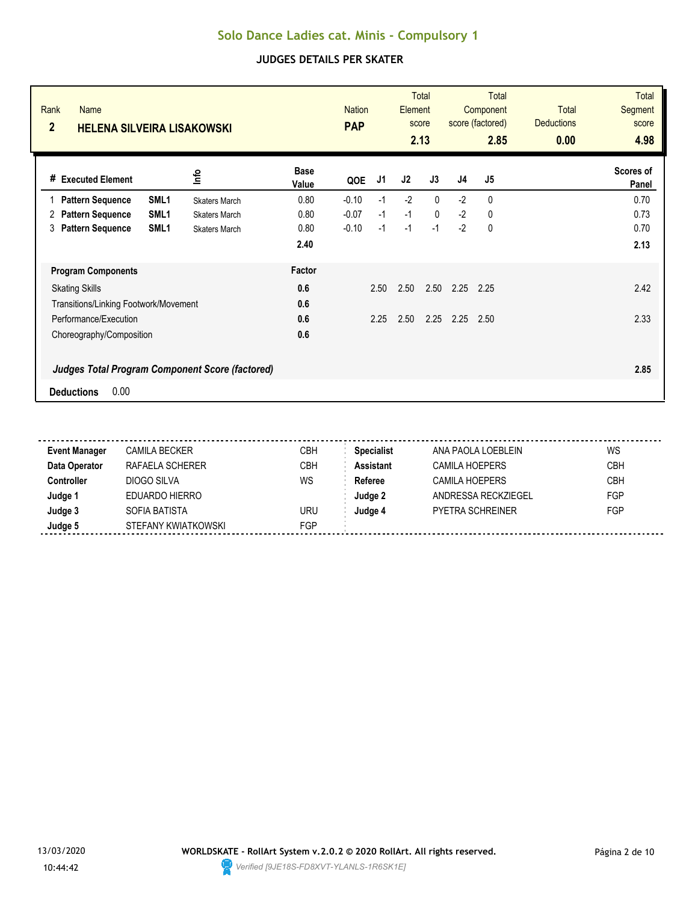| Rank<br><b>Name</b><br>$\overline{2}$ | <b>HELENA SILVEIRA LISAKOWSKI</b>                      |                      | <b>Nation</b><br><b>PAP</b> | <b>Total</b><br>Element<br>score<br>2.13 |      |              | <b>Total</b><br>Component<br>score (factored)<br>2.85 |             | <b>Total</b><br><b>Deductions</b><br>0.00 | <b>Total</b><br><b>Segment</b><br>score<br>4.98 |
|---------------------------------------|--------------------------------------------------------|----------------------|-----------------------------|------------------------------------------|------|--------------|-------------------------------------------------------|-------------|-------------------------------------------|-------------------------------------------------|
| <b>Executed Element</b><br>#          | ٩ų                                                     | <b>Base</b><br>Value | QOE                         | J1                                       | J2   | J3           | J <sub>4</sub>                                        | J5          |                                           | Scores of<br>Panel                              |
| <b>Pattern Sequence</b>               | SML <sub>1</sub><br><b>Skaters March</b>               | 0.80                 | $-0.10$                     | $-1$                                     | $-2$ | $\mathbf{0}$ | $-2$                                                  | 0           |                                           | 0.70                                            |
| <b>Pattern Sequence</b><br>2          | SML <sub>1</sub><br><b>Skaters March</b>               | 0.80                 | $-0.07$                     | $-1$                                     | $-1$ | $\mathbf{0}$ | $-2$                                                  | 0           |                                           | 0.73                                            |
| <b>Pattern Sequence</b><br>3          | SML <sub>1</sub><br><b>Skaters March</b>               | 0.80                 | $-0.10$                     | $-1$                                     | $-1$ | $-1$         | $-2$                                                  | $\mathbf 0$ |                                           | 0.70                                            |
|                                       |                                                        | 2.40                 |                             |                                          |      |              |                                                       |             |                                           | 2.13                                            |
| <b>Program Components</b>             |                                                        | Factor               |                             |                                          |      |              |                                                       |             |                                           |                                                 |
| <b>Skating Skills</b>                 |                                                        | 0.6                  |                             | 2.50                                     | 2.50 | 2.50         | 2.25                                                  | 2.25        |                                           | 2.42                                            |
| Transitions/Linking Footwork/Movement |                                                        | 0.6                  |                             |                                          |      |              |                                                       |             |                                           |                                                 |
| Performance/Execution                 |                                                        | 0.6                  |                             | 2.25                                     | 2.50 | 2.25         | 2.25                                                  | 2.50        |                                           | 2.33                                            |
| Choreography/Composition              |                                                        | 0.6                  |                             |                                          |      |              |                                                       |             |                                           |                                                 |
|                                       | <b>Judges Total Program Component Score (factored)</b> |                      |                             |                                          |      |              |                                                       |             |                                           | 2.85                                            |
| 0.00<br><b>Deductions</b>             |                                                        |                      |                             |                                          |      |              |                                                       |             |                                           |                                                 |

| <b>Event Manager</b> | <b>CAMILA BECKER</b> | СВН        | <b>Specialist</b> | ANA PAOLA LOEBLEIN      | WS         |
|----------------------|----------------------|------------|-------------------|-------------------------|------------|
| Data Operator        | RAFAELA SCHERER      | CBH        | <b>Assistant</b>  | CAMILA HOEPERS          | <b>CBH</b> |
| <b>Controller</b>    | DIOGO SILVA          | WS         | Referee           | <b>CAMILA HOEPERS</b>   | <b>CBH</b> |
| Judge 1              | EDUARDO HIERRO       |            | Judge 2           | ANDRESSA RECKZIEGEL     | FGP        |
| Judge 3              | SOFIA BATISTA        | uru        | Judge 4           | <b>PYETRA SCHREINER</b> | FGP        |
| Judge 5              | STEFANY KWIATKOWSKI  | <b>FGP</b> |                   |                         |            |

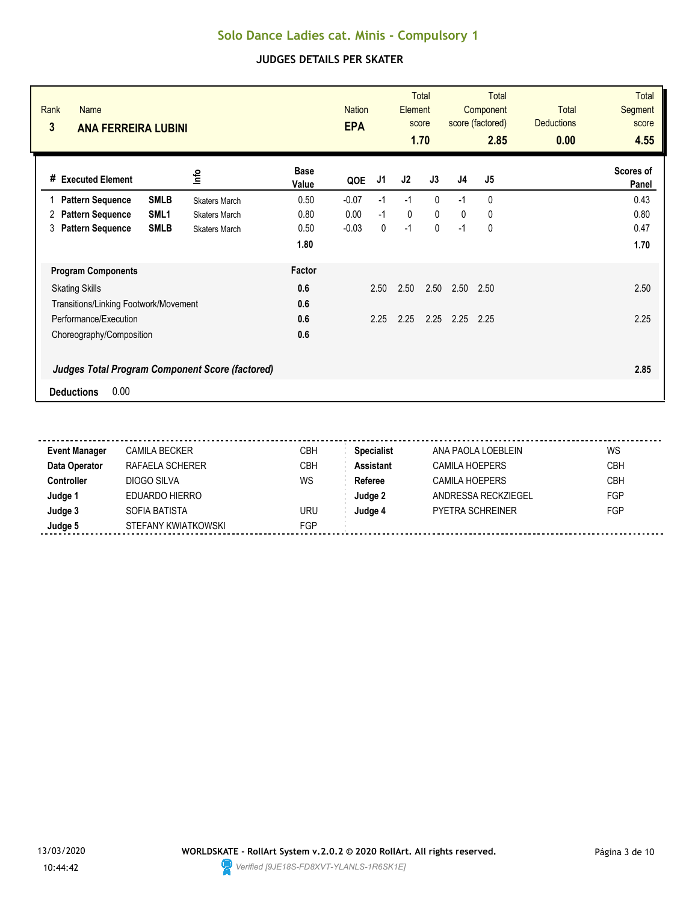| Rank<br>Name<br>3<br><b>ANA FERREIRA LUBINI</b>                          |                      | <b>Nation</b><br><b>EPA</b> |             | <b>Total</b><br>Element<br>score<br>1.70 |              | <b>Total</b><br>Component<br>score (factored)<br>2.85 |                | <b>Total</b><br><b>Deductions</b><br>0.00 | <b>Total</b><br><b>Segment</b><br>score<br>4.55 |
|--------------------------------------------------------------------------|----------------------|-----------------------------|-------------|------------------------------------------|--------------|-------------------------------------------------------|----------------|-------------------------------------------|-------------------------------------------------|
| <u>lnfo</u><br><b>Executed Element</b><br>#                              | <b>Base</b><br>Value | QOE                         | J1          | J <sub>2</sub>                           | J3           | J <sub>4</sub>                                        | J <sub>5</sub> |                                           | <b>Scores of</b><br>Panel                       |
| <b>Pattern Sequence</b><br><b>SMLB</b><br><b>Skaters March</b>           | 0.50                 | $-0.07$                     | $-1$        | $-1$                                     | $\mathbf{0}$ | $-1$                                                  | 0              |                                           | 0.43                                            |
| <b>Pattern Sequence</b><br>SML <sub>1</sub><br>2<br><b>Skaters March</b> | 0.80                 | 0.00                        | $-1$        | 0                                        | $\mathbf{0}$ | $\mathbf{0}$                                          | 0              |                                           | 0.80                                            |
| <b>Pattern Sequence</b><br><b>SMLB</b><br>3<br><b>Skaters March</b>      | 0.50                 | $-0.03$                     | $\mathbf 0$ | $-1$                                     | $\mathbf{0}$ | $-1$                                                  | 0              |                                           | 0.47                                            |
|                                                                          | 1.80                 |                             |             |                                          |              |                                                       |                |                                           | 1.70                                            |
| <b>Program Components</b>                                                | Factor               |                             |             |                                          |              |                                                       |                |                                           |                                                 |
| <b>Skating Skills</b>                                                    | 0.6                  |                             | 2.50        | 2.50                                     | 2.50         | 2.50                                                  | 2.50           |                                           | 2.50                                            |
| Transitions/Linking Footwork/Movement                                    | 0.6                  |                             |             |                                          |              |                                                       |                |                                           |                                                 |
| Performance/Execution                                                    | 0.6                  |                             | 2.25        | 2.25                                     | 2.25         | 2.25                                                  | 2.25           |                                           | 2.25                                            |
| Choreography/Composition                                                 | 0.6                  |                             |             |                                          |              |                                                       |                |                                           |                                                 |
| <b>Judges Total Program Component Score (factored)</b>                   |                      |                             |             |                                          |              |                                                       |                |                                           | 2.85                                            |
| 0.00<br><b>Deductions</b>                                                |                      |                             |             |                                          |              |                                                       |                |                                           |                                                 |

| <b>Event Manager</b> | <b>CAMILA BECKER</b> | СВН        | <b>Specialist</b> | ANA PAOLA LOEBLEIN      | WS         |
|----------------------|----------------------|------------|-------------------|-------------------------|------------|
| Data Operator        | RAFAELA SCHERER      | CBH        | <b>Assistant</b>  | CAMILA HOEPERS          | <b>CBH</b> |
| <b>Controller</b>    | DIOGO SILVA          | WS         | Referee           | <b>CAMILA HOEPERS</b>   | <b>CBH</b> |
| Judge 1              | EDUARDO HIERRO       |            | Judge 2           | ANDRESSA RECKZIEGEL     | FGP        |
| Judge 3              | SOFIA BATISTA        | uru        | Judge 4           | <b>PYETRA SCHREINER</b> | FGP        |
| Judge 5              | STEFANY KWIATKOWSKI  | <b>FGP</b> |                   |                         |            |

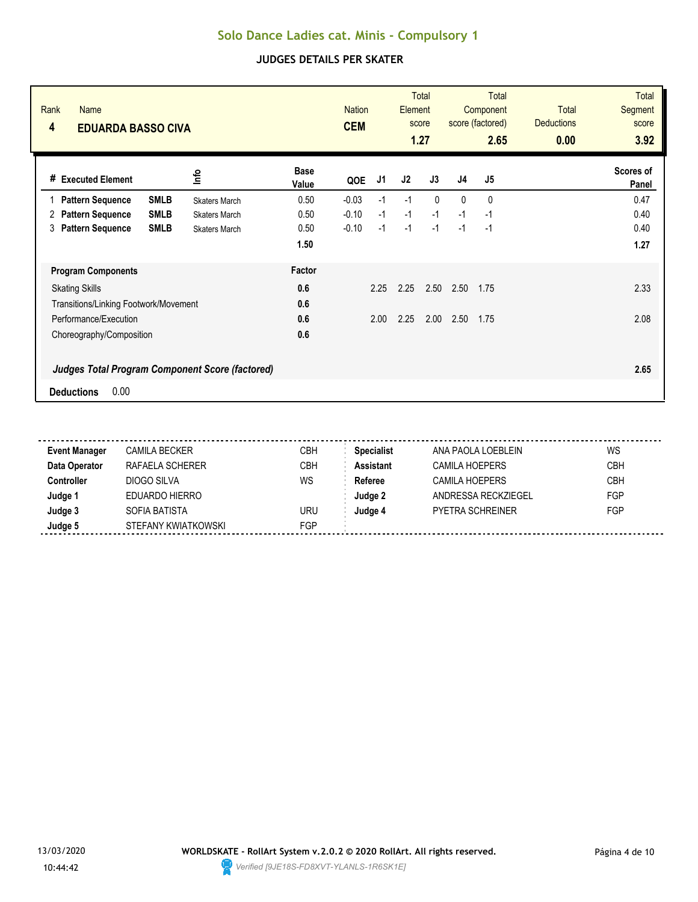| Rank<br><b>Name</b><br>4              | <b>EDUARDA BASSO CIVA</b>                              |                      | <b>Nation</b><br><b>CEM</b> |      | <b>Total</b><br>Element<br>score<br>1.27 |              | <b>Total</b><br>Component<br>score (factored)<br>2.65 |      | <b>Total</b><br><b>Deductions</b><br>0.00 | <b>Total</b><br>Segment<br>score<br>3.92 |
|---------------------------------------|--------------------------------------------------------|----------------------|-----------------------------|------|------------------------------------------|--------------|-------------------------------------------------------|------|-------------------------------------------|------------------------------------------|
| <b>Executed Element</b><br>#          | ٩ų                                                     | <b>Base</b><br>Value | QOE                         | J1   | J <sub>2</sub>                           | J3           | J <sub>4</sub>                                        | J5   |                                           | Scores of<br>Panel                       |
| <b>Pattern Sequence</b><br>1          | <b>SMLB</b><br><b>Skaters March</b>                    | 0.50                 | $-0.03$                     | $-1$ | $-1$                                     | $\mathbf{0}$ | $\mathbf{0}$                                          | 0    |                                           | 0.47                                     |
| <b>Pattern Sequence</b><br>2          | <b>SMLB</b><br><b>Skaters March</b>                    | 0.50                 | $-0.10$                     | $-1$ | $-1$                                     | $-1$         | $-1$                                                  | $-1$ |                                           | 0.40                                     |
| <b>Pattern Sequence</b><br>3          | <b>SMLB</b><br><b>Skaters March</b>                    | 0.50                 | $-0.10$                     | $-1$ | $-1$                                     | $-1$         | $-1$                                                  | $-1$ |                                           | 0.40                                     |
|                                       |                                                        | 1.50                 |                             |      |                                          |              |                                                       |      |                                           | 1.27                                     |
| <b>Program Components</b>             |                                                        | Factor               |                             |      |                                          |              |                                                       |      |                                           |                                          |
| <b>Skating Skills</b>                 |                                                        | 0.6                  |                             | 2.25 | 2.25                                     | 2.50         | 2.50                                                  | 1.75 |                                           | 2.33                                     |
| Transitions/Linking Footwork/Movement |                                                        | 0.6                  |                             |      |                                          |              |                                                       |      |                                           |                                          |
| Performance/Execution                 |                                                        | 0.6                  |                             | 2.00 | 2.25                                     | 2.00         | 2.50                                                  | 1.75 |                                           | 2.08                                     |
| Choreography/Composition              |                                                        | 0.6                  |                             |      |                                          |              |                                                       |      |                                           |                                          |
|                                       | <b>Judges Total Program Component Score (factored)</b> |                      |                             |      |                                          |              |                                                       |      |                                           | 2.65                                     |
| 0.00<br><b>Deductions</b>             |                                                        |                      |                             |      |                                          |              |                                                       |      |                                           |                                          |

| <b>Event Manager</b> | <b>CAMILA BECKER</b> | СВН        | <b>Specialist</b> | ANA PAOLA LOEBLEIN      | WS         |
|----------------------|----------------------|------------|-------------------|-------------------------|------------|
| Data Operator        | RAFAELA SCHERER      | CBH        | <b>Assistant</b>  | CAMILA HOEPERS          | <b>CBH</b> |
| <b>Controller</b>    | DIOGO SILVA          | WS         | Referee           | <b>CAMILA HOEPERS</b>   | <b>CBH</b> |
| Judge 1              | EDUARDO HIERRO       |            | Judge 2           | ANDRESSA RECKZIEGEL     | FGP        |
| Judge 3              | SOFIA BATISTA        | uru        | Judge 4           | <b>PYETRA SCHREINER</b> | FGP        |
| Judge 5              | STEFANY KWIATKOWSKI  | <b>FGP</b> |                   |                         |            |

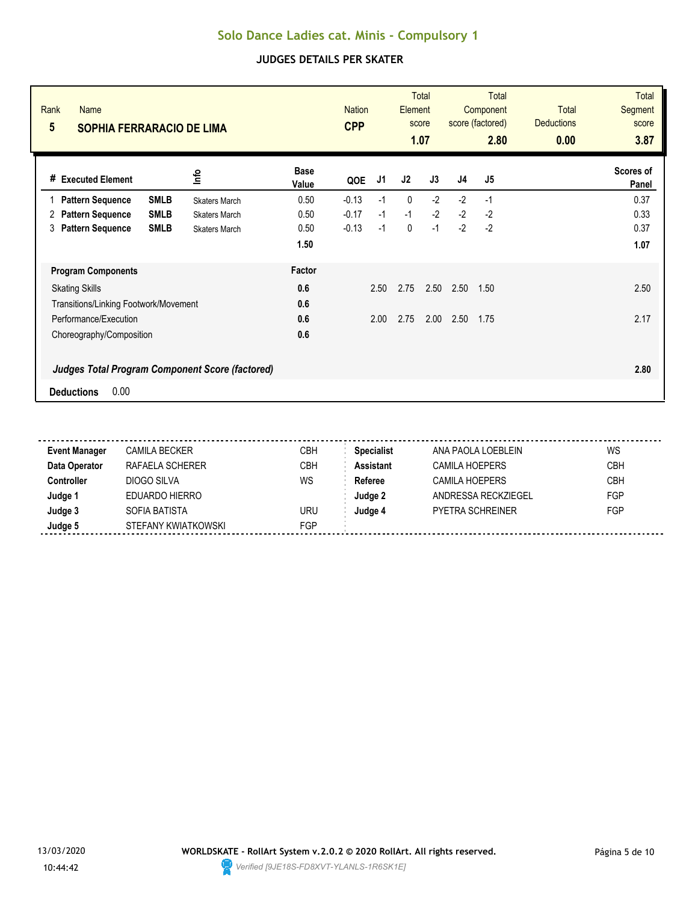| Rank<br><b>Name</b><br>5              | <b>SOPHIA FERRARACIO DE LIMA</b>                       |                      | <b>Nation</b><br><b>CPP</b> |      | <b>Total</b><br>Element<br>score<br>1.07 |      | <b>Total</b><br>Component<br>score (factored)<br>2.80 |      | <b>Total</b><br><b>Deductions</b><br>0.00 | <b>Total</b><br>Segment<br>score<br>3.87 |
|---------------------------------------|--------------------------------------------------------|----------------------|-----------------------------|------|------------------------------------------|------|-------------------------------------------------------|------|-------------------------------------------|------------------------------------------|
| <b>Executed Element</b><br>#          | ٩ų                                                     | <b>Base</b><br>Value | QOE                         | J1   | J2                                       | J3   | J <sub>4</sub>                                        | J5   |                                           | Scores of<br>Panel                       |
| <b>Pattern Sequence</b>               | <b>SMLB</b><br><b>Skaters March</b>                    | 0.50                 | $-0.13$                     | $-1$ | $\mathbf 0$                              | $-2$ | $-2$                                                  | $-1$ |                                           | 0.37                                     |
| <b>Pattern Sequence</b><br>2          | <b>SMLB</b><br><b>Skaters March</b>                    | 0.50                 | $-0.17$                     | $-1$ | $-1$                                     | $-2$ | $-2$                                                  | $-2$ |                                           | 0.33                                     |
| <b>Pattern Sequence</b><br>3          | <b>SMLB</b><br><b>Skaters March</b>                    | 0.50                 | $-0.13$                     | $-1$ | 0                                        | $-1$ | $-2$                                                  | $-2$ |                                           | 0.37                                     |
|                                       |                                                        | 1.50                 |                             |      |                                          |      |                                                       |      |                                           | 1.07                                     |
| <b>Program Components</b>             |                                                        | Factor               |                             |      |                                          |      |                                                       |      |                                           |                                          |
| <b>Skating Skills</b>                 |                                                        | 0.6                  |                             | 2.50 | 2.75                                     | 2.50 | 2.50                                                  | 1.50 |                                           | 2.50                                     |
| Transitions/Linking Footwork/Movement |                                                        | 0.6                  |                             |      |                                          |      |                                                       |      |                                           |                                          |
| Performance/Execution                 |                                                        | 0.6                  |                             | 2.00 | 2.75                                     | 2.00 | 2.50                                                  | 1.75 |                                           | 2.17                                     |
| Choreography/Composition              |                                                        | 0.6                  |                             |      |                                          |      |                                                       |      |                                           |                                          |
|                                       | <b>Judges Total Program Component Score (factored)</b> |                      |                             |      |                                          |      |                                                       |      |                                           | 2.80                                     |
| 0.00<br><b>Deductions</b>             |                                                        |                      |                             |      |                                          |      |                                                       |      |                                           |                                          |

| <b>Event Manager</b> | <b>CAMILA BECKER</b> | СВН        | <b>Specialist</b> | ANA PAOLA LOEBLEIN      | WS         |
|----------------------|----------------------|------------|-------------------|-------------------------|------------|
| Data Operator        | RAFAELA SCHERER      | CBH        | <b>Assistant</b>  | CAMILA HOEPERS          | <b>CBH</b> |
| <b>Controller</b>    | DIOGO SILVA          | WS         | Referee           | <b>CAMILA HOEPERS</b>   | <b>CBH</b> |
| Judge 1              | EDUARDO HIERRO       |            | Judge 2           | ANDRESSA RECKZIEGEL     | FGP        |
| Judge 3              | SOFIA BATISTA        | uru        | Judge 4           | <b>PYETRA SCHREINER</b> | FGP        |
| Judge 5              | STEFANY KWIATKOWSKI  | <b>FGP</b> |                   |                         |            |

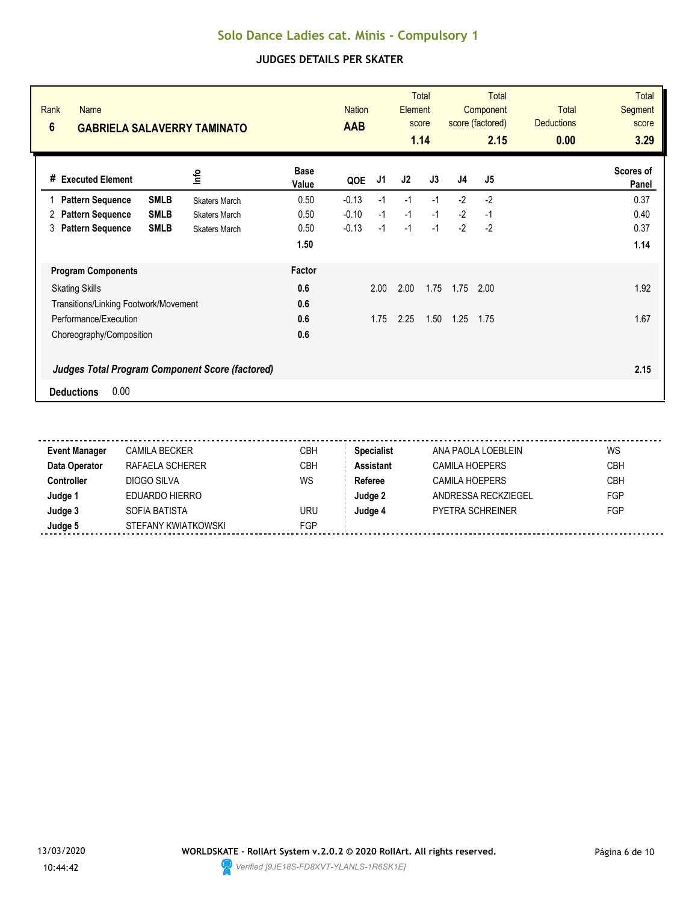| Rank<br><b>Name</b><br>$6\phantom{1}$                  | <b>GABRIELA SALAVERRY TAMINATO</b> |                      | <b>Nation</b><br><b>AAB</b> | <b>Total</b><br>Element<br>score<br>1.14 |      |      | <b>Total</b><br>Component<br>score (factored)<br>2.15 |                | <b>Total</b><br><b>Deductions</b><br>0.00 | <b>Total</b><br><b>Segment</b><br>score<br>3.29 |
|--------------------------------------------------------|------------------------------------|----------------------|-----------------------------|------------------------------------------|------|------|-------------------------------------------------------|----------------|-------------------------------------------|-------------------------------------------------|
| <b>Executed Element</b><br>#                           | lnfo                               | <b>Base</b><br>Value | QOE                         | J1                                       | J2   | J3   | J <sub>4</sub>                                        | J <sub>5</sub> |                                           | Scores of<br>Panel                              |
| <b>SMLB</b><br><b>Pattern Sequence</b>                 | <b>Skaters March</b>               | 0.50                 | $-0.13$                     | $-1$                                     | $-1$ | $-1$ | $-2$                                                  | $-2$           |                                           | 0.37                                            |
| <b>SMLB</b><br><b>Pattern Sequence</b><br>2            | <b>Skaters March</b>               | 0.50                 | $-0.10$                     | $-1$                                     | $-1$ | $-1$ | $-2$                                                  | $-1$           |                                           | 0.40                                            |
| <b>Pattern Sequence</b><br><b>SMLB</b><br>3            | <b>Skaters March</b>               | 0.50                 | $-0.13$                     | $-1$                                     | $-1$ | $-1$ | $-2$                                                  | $-2$           |                                           | 0.37                                            |
|                                                        |                                    | 1.50                 |                             |                                          |      |      |                                                       |                |                                           | 1.14                                            |
| <b>Program Components</b>                              |                                    | Factor               |                             |                                          |      |      |                                                       |                |                                           |                                                 |
| <b>Skating Skills</b>                                  |                                    | 0.6                  |                             | 2.00                                     | 2.00 | 1.75 | 1.75                                                  | 2.00           |                                           | 1.92                                            |
| Transitions/Linking Footwork/Movement                  |                                    | 0.6                  |                             |                                          |      |      |                                                       |                |                                           |                                                 |
| Performance/Execution                                  |                                    | 0.6                  |                             | 1.75                                     | 2.25 | 1.50 | 1.25                                                  | 1.75           |                                           | 1.67                                            |
| Choreography/Composition                               |                                    | 0.6                  |                             |                                          |      |      |                                                       |                |                                           |                                                 |
| <b>Judges Total Program Component Score (factored)</b> |                                    |                      |                             |                                          |      |      |                                                       |                |                                           | 2.15                                            |
| 0.00<br><b>Deductions</b>                              |                                    |                      |                             |                                          |      |      |                                                       |                |                                           |                                                 |

| <b>Event Manager</b> | <b>CAMILA BECKER</b> | СВН        | <b>Specialist</b> | ANA PAOLA LOEBLEIN      | WS         |
|----------------------|----------------------|------------|-------------------|-------------------------|------------|
| Data Operator        | RAFAELA SCHERER      | CBH        | <b>Assistant</b>  | CAMILA HOEPERS          | <b>CBH</b> |
| <b>Controller</b>    | DIOGO SILVA          | WS         | Referee           | <b>CAMILA HOEPERS</b>   | <b>CBH</b> |
| Judge 1              | EDUARDO HIERRO       |            | Judge 2           | ANDRESSA RECKZIEGEL     | FGP        |
| Judge 3              | SOFIA BATISTA        | uru        | Judge 4           | <b>PYETRA SCHREINER</b> | FGP        |
| Judge 5              | STEFANY KWIATKOWSKI  | <b>FGP</b> |                   |                         |            |

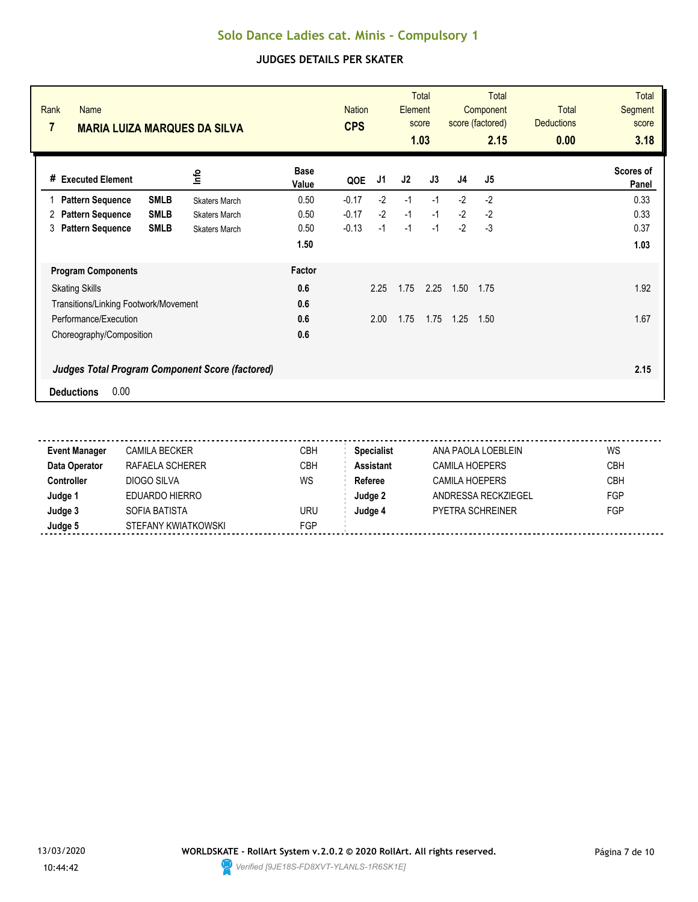| Rank<br><b>Name</b><br>7                               | <b>MARIA LUIZA MARQUES DA SILVA</b> |                      | <b>Nation</b><br><b>CPS</b> |      | <b>Total</b><br><b>Element</b><br>score<br>1.03 |      | <b>Total</b><br>Component<br>score (factored)<br>2.15 |                | <b>Total</b><br><b>Deductions</b><br>0.00 | <b>Total</b><br><b>Segment</b><br>score<br>3.18 |
|--------------------------------------------------------|-------------------------------------|----------------------|-----------------------------|------|-------------------------------------------------|------|-------------------------------------------------------|----------------|-------------------------------------------|-------------------------------------------------|
| <b>Executed Element</b><br>#                           | lnfo                                | <b>Base</b><br>Value | QOE                         | J1   | J2                                              | J3   | J <sub>4</sub>                                        | J <sub>5</sub> |                                           | <b>Scores of</b><br>Panel                       |
| <b>Pattern Sequence</b><br><b>SMLB</b>                 | <b>Skaters March</b>                | 0.50                 | $-0.17$                     | $-2$ | $-1$                                            | $-1$ | $-2$                                                  | $-2$           |                                           | 0.33                                            |
| <b>SMLB</b><br><b>Pattern Sequence</b><br>2            | <b>Skaters March</b>                | 0.50                 | $-0.17$                     | $-2$ | $-1$                                            | $-1$ | $-2$                                                  | $-2$           |                                           | 0.33                                            |
| <b>Pattern Sequence</b><br><b>SMLB</b><br>3            | <b>Skaters March</b>                | 0.50                 | $-0.13$                     | $-1$ | $-1$                                            | $-1$ | $-2$                                                  | $-3$           |                                           | 0.37                                            |
|                                                        |                                     | 1.50                 |                             |      |                                                 |      |                                                       |                |                                           | 1.03                                            |
| <b>Program Components</b>                              |                                     | Factor               |                             |      |                                                 |      |                                                       |                |                                           |                                                 |
| <b>Skating Skills</b>                                  |                                     | 0.6                  |                             | 2.25 | 1.75                                            | 2.25 | 1.50                                                  | 1.75           |                                           | 1.92                                            |
| Transitions/Linking Footwork/Movement                  |                                     | 0.6                  |                             |      |                                                 |      |                                                       |                |                                           |                                                 |
| Performance/Execution                                  |                                     | 0.6                  |                             | 2.00 | 1.75                                            | 1.75 | 1.25                                                  | 1.50           |                                           | 1.67                                            |
| Choreography/Composition                               |                                     | 0.6                  |                             |      |                                                 |      |                                                       |                |                                           |                                                 |
| <b>Judges Total Program Component Score (factored)</b> |                                     |                      |                             |      |                                                 |      |                                                       |                |                                           | 2.15                                            |
| 0.00<br><b>Deductions</b>                              |                                     |                      |                             |      |                                                 |      |                                                       |                |                                           |                                                 |

| <b>Event Manager</b> | CAMILA BECKER       | CBH        | <b>Specialist</b> | ANA PAOLA LOEBLEIN      | WS         |
|----------------------|---------------------|------------|-------------------|-------------------------|------------|
| Data Operator        | RAFAELA SCHERER     | CBH        | <b>Assistant</b>  | CAMILA HOEPERS          | <b>CBH</b> |
| Controller           | DIOGO SILVA         | WS         | Referee           | <b>CAMILA HOEPERS</b>   | <b>CBH</b> |
| Judge 1              | EDUARDO HIERRO      |            | Judge 2           | ANDRESSA RECKZIEGEL     | FGP        |
| Judge 3              | SOFIA BATISTA       | URU        | Judge 4           | <b>PYETRA SCHREINER</b> | FGP        |
| Judge 5              | STEFANY KWIATKOWSKI | <b>FGP</b> |                   |                         |            |

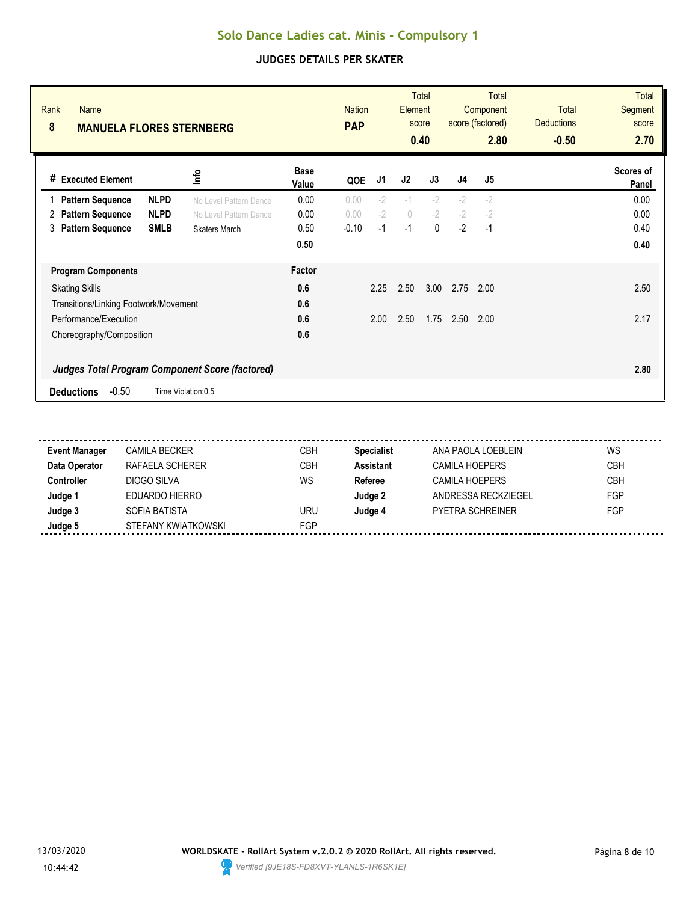| Rank<br><b>Name</b><br>8<br><b>MANUELA FLORES STERNBERG</b> | <b>Nation</b><br><b>PAP</b>                            |                      | Total<br>Element<br>score<br>0.40 |      | <b>Total</b><br>Component<br>score (factored)<br>2.80 |              | <b>Total</b><br><b>Deductions</b><br>$-0.50$ | <b>Total</b><br><b>Segment</b><br>score<br>2.70 |  |                           |
|-------------------------------------------------------------|--------------------------------------------------------|----------------------|-----------------------------------|------|-------------------------------------------------------|--------------|----------------------------------------------|-------------------------------------------------|--|---------------------------|
| <b>Executed Element</b><br>#                                | lnfo                                                   | <b>Base</b><br>Value | QOE                               | J1   | J2                                                    | J3           | J <sub>4</sub>                               | J <sub>5</sub>                                  |  | <b>Scores of</b><br>Panel |
| <b>Pattern Sequence</b>                                     | <b>NLPD</b><br>No Level Pattern Dance                  | 0.00                 | 0.00                              | $-2$ | $-1$                                                  | $-2$         | $-2$                                         | $-2$                                            |  | 0.00                      |
| <b>Pattern Sequence</b><br>2                                | <b>NLPD</b><br>No Level Pattern Dance                  | 0.00                 | 0.00                              | $-2$ | $\circ$                                               | $-2$         | $-2$                                         | $-2$                                            |  | 0.00                      |
| <b>Pattern Sequence</b><br>3                                | <b>SMLB</b><br><b>Skaters March</b>                    | 0.50                 | $-0.10$                           | $-1$ | $-1$                                                  | $\mathbf{0}$ | $-2$                                         | $-1$                                            |  | 0.40                      |
|                                                             |                                                        | 0.50                 |                                   |      |                                                       |              |                                              |                                                 |  | 0.40                      |
| <b>Program Components</b>                                   |                                                        | Factor               |                                   |      |                                                       |              |                                              |                                                 |  |                           |
| <b>Skating Skills</b>                                       |                                                        | 0.6                  |                                   | 2.25 | 2.50                                                  | 3.00         | 2.75                                         | 2.00                                            |  | 2.50                      |
| Transitions/Linking Footwork/Movement                       |                                                        | 0.6                  |                                   |      |                                                       |              |                                              |                                                 |  |                           |
| Performance/Execution                                       |                                                        | 0.6                  |                                   | 2.00 | 2.50                                                  | 1.75         | 2.50                                         | 2.00                                            |  | 2.17                      |
| Choreography/Composition                                    |                                                        | 0.6                  |                                   |      |                                                       |              |                                              |                                                 |  |                           |
|                                                             | <b>Judges Total Program Component Score (factored)</b> |                      |                                   |      |                                                       |              |                                              |                                                 |  | 2.80                      |
| $-0.50$<br><b>Deductions</b>                                | Time Violation:0,5                                     |                      |                                   |      |                                                       |              |                                              |                                                 |  |                           |

| <b>Event Manager</b> | CAMILA BECKER       | СВН | <b>Specialist</b> | ANA PAOLA LOEBLEIN      | WS         |
|----------------------|---------------------|-----|-------------------|-------------------------|------------|
| Data Operator        | RAFAELA SCHERER     | СВН | <b>Assistant</b>  | <b>CAMILA HOEPERS</b>   | <b>CBH</b> |
| Controller           | DIOGO SILVA         | WS  | Referee           | <b>CAMILA HOEPERS</b>   | <b>CBH</b> |
| Judge '              | EDUARDO HIERRO      |     | Judge 2           | ANDRESSA RECKZIEGEL     | FGP        |
| Judge 3              | SOFIA BATISTA       | URU | Judge 4           | <b>PYETRA SCHREINER</b> | FGP        |
| Judge 5              | STEFANY KWIATKOWSKI | FGP |                   |                         |            |

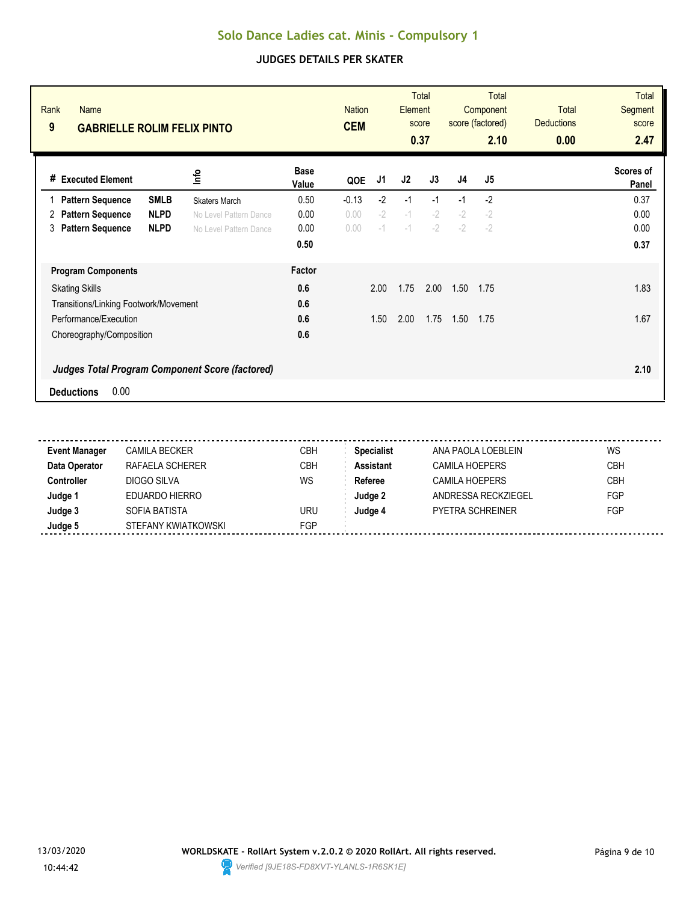| Rank<br><b>Name</b><br>9<br><b>GABRIELLE ROLIM FELIX PINTO</b>                                                                                   | <b>Nation</b><br><b>CEM</b>                                                                                           |                                    | <b>Total</b><br><b>Element</b><br>score<br>0.37 |                      | Total<br>Component<br>score (factored)<br>2.10 |                      | Total<br><b>Deductions</b><br>0.00 | <b>Total</b><br><b>Segment</b><br>score<br>2.47 |  |                              |
|--------------------------------------------------------------------------------------------------------------------------------------------------|-----------------------------------------------------------------------------------------------------------------------|------------------------------------|-------------------------------------------------|----------------------|------------------------------------------------|----------------------|------------------------------------|-------------------------------------------------|--|------------------------------|
| <b>Executed Element</b><br>#                                                                                                                     | lnfo                                                                                                                  | <b>Base</b><br>Value               | QOE                                             | J1                   | J2                                             | J3                   | J <sub>4</sub>                     | J <sub>5</sub>                                  |  | Scores of<br>Panel           |
| <b>Pattern Sequence</b><br><b>Pattern Sequence</b><br>2<br><b>Pattern Sequence</b><br>3                                                          | <b>SMLB</b><br><b>Skaters March</b><br><b>NLPD</b><br>No Level Pattern Dance<br><b>NLPD</b><br>No Level Pattern Dance | 0.50<br>0.00<br>0.00<br>0.50       | $-0.13$<br>0.00<br>0.00                         | $-2$<br>$-2$<br>$-1$ | $-1$<br>$-1$<br>$-1$                           | $-1$<br>$-2$<br>$-2$ | $-1$<br>$-2$<br>$-2$               | $-2$<br>$-2$<br>$-2$                            |  | 0.37<br>0.00<br>0.00<br>0.37 |
| <b>Program Components</b><br><b>Skating Skills</b><br>Transitions/Linking Footwork/Movement<br>Performance/Execution<br>Choreography/Composition |                                                                                                                       | Factor<br>0.6<br>0.6<br>0.6<br>0.6 |                                                 | 2.00<br>1.50         | 1.75<br>2.00                                   | 2.00<br>1.75         | 1.50<br>1.50                       | 1.75<br>1.75                                    |  | 1.83<br>1.67                 |
| 0.00<br><b>Deductions</b>                                                                                                                        | <b>Judges Total Program Component Score (factored)</b>                                                                |                                    |                                                 |                      |                                                |                      |                                    |                                                 |  | 2.10                         |

| <b>Event Manager</b> | <b>CAMILA BECKER</b> | СВН        | <b>Specialist</b> | ANA PAOLA LOEBLEIN      | WS         |
|----------------------|----------------------|------------|-------------------|-------------------------|------------|
| Data Operator        | RAFAELA SCHERER      | CBH        | <b>Assistant</b>  | CAMILA HOEPERS          | <b>CBH</b> |
| <b>Controller</b>    | DIOGO SILVA          | WS         | Referee           | <b>CAMILA HOEPERS</b>   | <b>CBH</b> |
| Judge 1              | EDUARDO HIERRO       |            | Judge 2           | ANDRESSA RECKZIEGEL     | FGP        |
| Judge 3              | SOFIA BATISTA        | uru        | Judge 4           | <b>PYETRA SCHREINER</b> | FGP        |
| Judge 5              | STEFANY KWIATKOWSKI  | <b>FGP</b> |                   |                         |            |